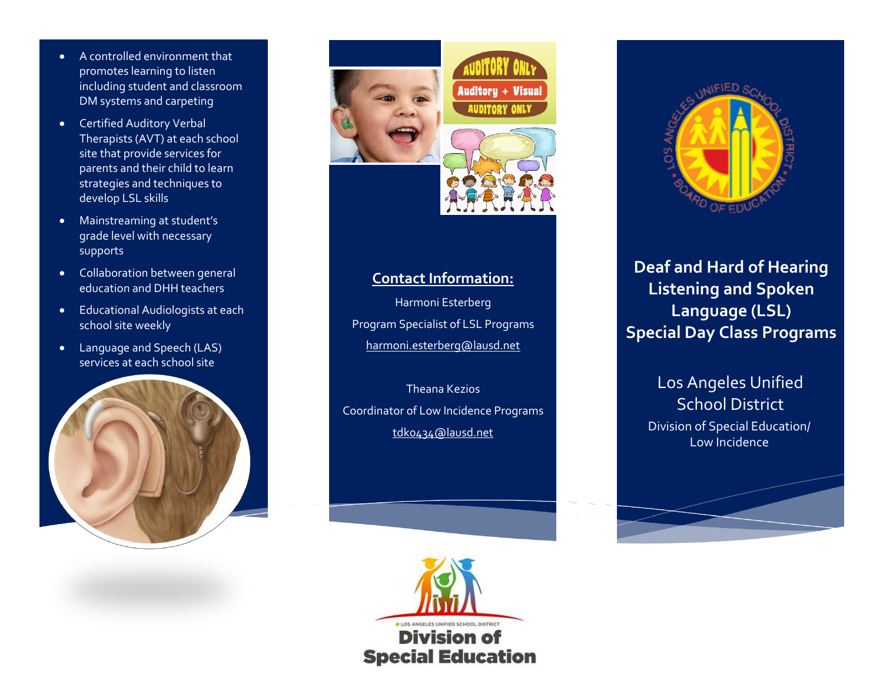- A controlled environment that promotes learning to listen including student and classroom DM systems and carpeting
- Certified Auditory Verbal Therapists (AVT) at each school site that provide services for parents and their child to learn strategies and techniques to develop LSL skills
- Mainstreaming at student's grade level with necessary supports
- Collaboration between general education and DHH teachers
- Educational Audiologists at each school site weekly
- Language and Speech (LAS) services at each school site





#### **Contact Information:**

Harmoni Esterberg Program Specialist of LSL Programs [harmoni.esterberg@lausd.net](mailto:harmoni.esterberg@lausd.net)

Theana Kezios Coordinator of Low Incidence Programs [tdk0434@lausd.net](mailto:tdk0434@lausd.net)





**Deaf and Hard of Hearing Listening and Spoken Language (LSL) Special Day Class Programs**

### Los Angeles Unified School District Division of Special Education/ Low Incidence